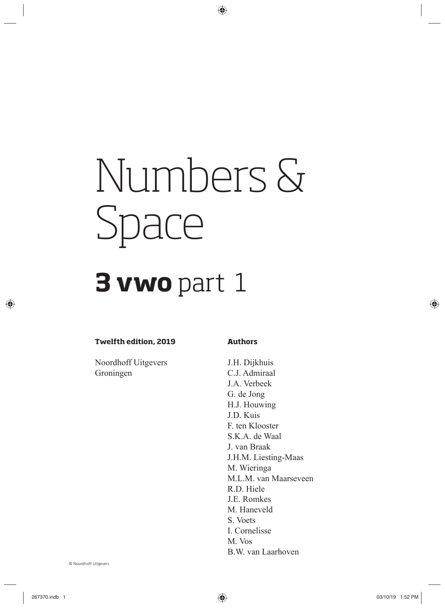# Numbers & Space

## **3 vwo** part 1

#### **Twelfth edition, 2019**

Noordhoff Uitgevers Groningen

#### **Authors**

J.H. Dijkhuis C.J. Admiraal J.A. Verbeek G. de Jong H.J. Houwing J.D. Kuis F. ten Klooster S.K.A. de Waal J. van Braak J.H.M. Liesting-Maas M. Wieringa M.L.M. van Maarseveen R.D. Hiele J.E. Romkes M. Haneveld S. Voets I. Cornelisse M. Vos B.W. van Laarhoven